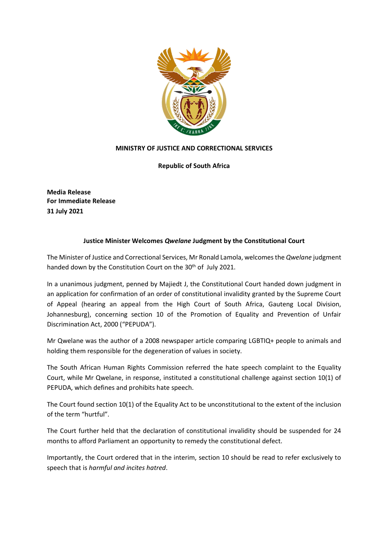

## **MINISTRY OF JUSTICE AND CORRECTIONAL SERVICES**

**Republic of South Africa**

**Media Release For Immediate Release 31 July 2021**

## **Justice Minister Welcomes** *Qwelane* **Judgment by the Constitutional Court**

The Minister of Justice and Correctional Services, Mr Ronald Lamola, welcomesthe *Qwelane* judgment handed down by the Constitution Court on the 30<sup>th</sup> of July 2021.

In a unanimous judgment, penned by Majiedt J, the Constitutional Court handed down judgment in an application for confirmation of an order of constitutional invalidity granted by the Supreme Court of Appeal (hearing an appeal from the High Court of South Africa, Gauteng Local Division, Johannesburg), concerning section 10 of the Promotion of Equality and Prevention of Unfair Discrimination Act, 2000 ("PEPUDA").

Mr Qwelane was the author of a 2008 newspaper article comparing LGBTIQ+ people to animals and holding them responsible for the degeneration of values in society.

The South African Human Rights Commission referred the hate speech complaint to the Equality Court, while Mr Qwelane, in response, instituted a constitutional challenge against section 10(1) of PEPUDA, which defines and prohibits hate speech.

The Court found section 10(1) of the Equality Act to be unconstitutional to the extent of the inclusion of the term "hurtful".

The Court further held that the declaration of constitutional invalidity should be suspended for 24 months to afford Parliament an opportunity to remedy the constitutional defect.

Importantly, the Court ordered that in the interim, section 10 should be read to refer exclusively to speech that is *harmful and incites hatred*.